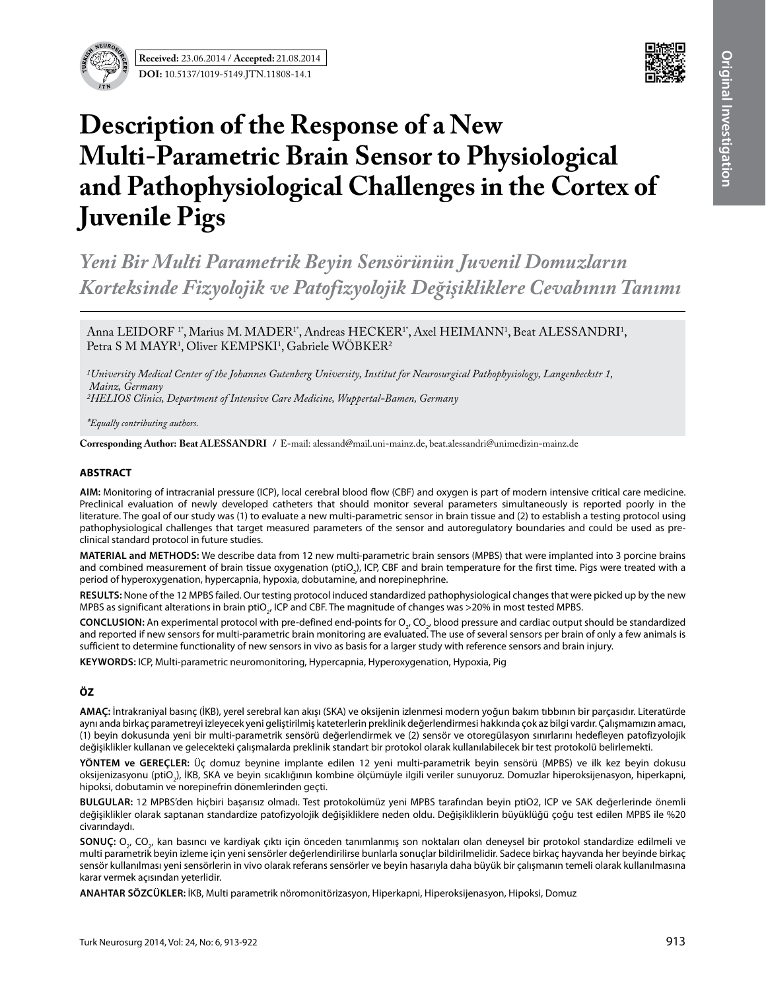



# **Description of the Response of a New Multi-Parametric Brain Sensor to Physiological and Pathophysiological Challenges in the Cortex of Juvenile Pigs**

*Yeni Bir Multi Parametrik Beyin Sensörünün Juvenil Domuzların Korteksinde Fizyolojik ve Patofizyolojik Değişikliklere Cevabının Tanımı*

Anna LEIDORF 1\*, Marius M. MADER1\*, Andreas HECKER1\*, Axel HEIMANN1, Beat ALESSANDRI1, Petra S M MAYR<sup>1</sup>, Oliver KEMPSKI<sup>1</sup>, Gabriele WOBKER<sup>2</sup>

*1University Medical Center of the Johannes Gutenberg University, Institut for Neurosurgical Pathophysiology, Langenbeckstr 1, Mainz, Germany 2HELIOS Clinics, Department of Intensive Care Medicine, Wuppertal-Bamen, Germany*

*\*Equally contributing authors.*

Corresponding Author: Beat ALESSANDRI / E-mail: alessand@mail.uni-mainz.de, beat.alessandri@unimedizin-mainz.de

#### **ABSTRACT**

**AIm:** Monitoring of intracranial pressure (ICP), local cerebral blood flow (CBF) and oxygen is part of modern intensive critical care medicine. Preclinical evaluation of newly developed catheters that should monitor several parameters simultaneously is reported poorly in the literature. The goal of our study was (1) to evaluate a new multi-parametric sensor in brain tissue and (2) to establish a testing protocol using pathophysiological challenges that target measured parameters of the sensor and autoregulatory boundaries and could be used as preclinical standard protocol in future studies.

**MaterIal and Methods:** We describe data from 12 new multi-parametric brain sensors (MPBS) that were implanted into 3 porcine brains and combined measurement of brain tissue oxygenation (ptiO<sub>2</sub>), ICP, CBF and brain temperature for the first time. Pigs were treated with a period of hyperoxygenation, hypercapnia, hypoxia, dobutamine, and norepinephrine.

**Results:** None of the 12 MPBS failed. Our testing protocol induced standardized pathophysiological changes that were picked up by the new MPBS as significant alterations in brain ptiO $_{2^\prime}$ ICP and CBF. The magnitude of changes was >20% in most tested MPBS.

**CONCLUSION:** An experimental protocol with pre-defined end-points for O<sub>2</sub>, CO<sub>2</sub>, blood pressure and cardiac output should be standardized and reported if new sensors for multi-parametric brain monitoring are evaluated. The use of several sensors per brain of only a few animals is sufficient to determine functionality of new sensors in vivo as basis for a larger study with reference sensors and brain injury.

**Keywords:** ICP, Multi-parametric neuromonitoring, Hypercapnia, Hyperoxygenation, Hypoxia, Pig

# **ÖZ**

**AMAÇ:** İntrakraniyal basınç (İKB), yerel serebral kan akışı (SKA) ve oksijenin izlenmesi modern yoğun bakım tıbbının bir parçasıdır. Literatürde aynı anda birkaç parametreyi izleyecek yeni geliştirilmiş kateterlerin preklinik değerlendirmesi hakkında çok az bilgi vardır. Çalışmamızın amacı, (1) beyin dokusunda yeni bir multi-parametrik sensörü değerlendirmek ve (2) sensör ve otoregülasyon sınırlarını hedefleyen patofizyolojik değişiklikler kullanan ve gelecekteki çalışmalarda preklinik standart bir protokol olarak kullanılabilecek bir test protokolü belirlemekti.

**YÖNTEM ve GEREÇLER:** Üç domuz beynine implante edilen 12 yeni multi-parametrik beyin sensörü (MPBS) ve ilk kez beyin dokusu oksijenizasyonu (ptiO<sub>2</sub>), İKB, SKA ve beyin sıcaklığının kombine ölçümüyle ilgili veriler sunuyoruz. Domuzlar hiperoksijenasyon, hiperkapni, hipoksi, dobutamin ve norepinefrin dönemlerinden geçti.

**BULGULAR:** 12 MPBS'den hiçbiri başarısız olmadı. Test protokolümüz yeni MPBS tarafından beyin ptiO2, ICP ve SAK değerlerinde önemli değişiklikler olarak saptanan standardize patofizyolojik değişikliklere neden oldu. Değişikliklerin büyüklüğü çoğu test edilen MPBS ile %20 civarındaydı.

**SONUÇ:** O<sub>2</sub>, CO<sub>2</sub>, kan basıncı ve kardiyak çıktı için önceden tanımlanmış son noktaları olan deneysel bir protokol standardize edilmeli ve multi parametrik beyin izleme için yeni sensörler değerlendirilirse bunlarla sonuçlar bildirilmelidir. Sadece birkaç hayvanda her beyinde birkaç sensör kullanılması yeni sensörlerin in vivo olarak referans sensörler ve beyin hasarıyla daha büyük bir çalışmanın temeli olarak kullanılmasına karar vermek açısından yeterlidir.

**ANAHTAR SÖZCÜKLER:** İKB, Multi parametrik nöromonitörizasyon, Hiperkapni, Hiperoksijenasyon, Hipoksi, Domuz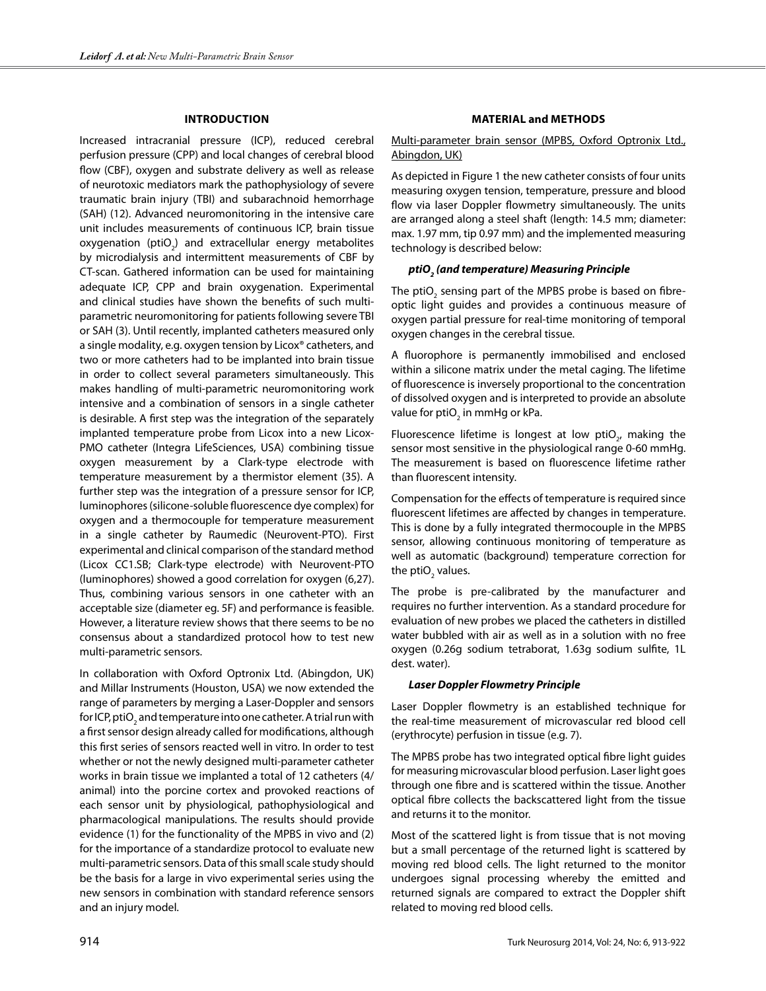#### **Introduction**

Increased intracranial pressure (ICP), reduced cerebral perfusion pressure (CPP) and local changes of cerebral blood flow (CBF), oxygen and substrate delivery as well as release of neurotoxic mediators mark the pathophysiology of severe traumatic brain injury (TBI) and subarachnoid hemorrhage (SAH) (12). Advanced neuromonitoring in the intensive care unit includes measurements of continuous ICP, brain tissue oxygenation (ptiO<sub>2</sub>) and extracellular energy metabolites by microdialysis and intermittent measurements of CBF by CT-scan. Gathered information can be used for maintaining adequate ICP, CPP and brain oxygenation. Experimental and clinical studies have shown the benefits of such multiparametric neuromonitoring for patients following severe TBI or SAH (3). Until recently, implanted catheters measured only a single modality, e.g. oxygen tension by Licox® catheters, and two or more catheters had to be implanted into brain tissue in order to collect several parameters simultaneously. This makes handling of multi-parametric neuromonitoring work intensive and a combination of sensors in a single catheter is desirable. A first step was the integration of the separately implanted temperature probe from Licox into a new Licox-PMO catheter (Integra LifeSciences, USA) combining tissue oxygen measurement by a Clark-type electrode with temperature measurement by a thermistor element (35). A further step was the integration of a pressure sensor for ICP, luminophores (silicone-soluble fluorescence dye complex) for oxygen and a thermocouple for temperature measurement in a single catheter by Raumedic (Neurovent-PTO). First experimental and clinical comparison of the standard method (Licox CC1.SB; Clark-type electrode) with Neurovent-PTO (luminophores) showed a good correlation for oxygen (6,27). Thus, combining various sensors in one catheter with an acceptable size (diameter eg. 5F) and performance is feasible. However, a literature review shows that there seems to be no consensus about a standardized protocol how to test new multi-parametric sensors.

In collaboration with Oxford Optronix Ltd. (Abingdon, UK) and Millar Instruments (Houston, USA) we now extended the range of parameters by merging a Laser-Doppler and sensors for ICP, ptiO $_2$  and temperature into one catheter. A trial run with a first sensor design already called for modifications, although this first series of sensors reacted well in vitro. In order to test whether or not the newly designed multi-parameter catheter works in brain tissue we implanted a total of 12 catheters (4/ animal) into the porcine cortex and provoked reactions of each sensor unit by physiological, pathophysiological and pharmacological manipulations. The results should provide evidence (1) for the functionality of the MPBS in vivo and (2) for the importance of a standardize protocol to evaluate new multi-parametric sensors. Data of this small scale study should be the basis for a large in vivo experimental series using the new sensors in combination with standard reference sensors and an injury model.

#### **Material and Methods**

#### Multi-parameter brain sensor (MPBS, Oxford Optronix Ltd., Abingdon, UK)

As depicted in Figure 1 the new catheter consists of four units measuring oxygen tension, temperature, pressure and blood flow via laser Doppler flowmetry simultaneously. The units are arranged along a steel shaft (length: 14.5 mm; diameter: max. 1.97 mm, tip 0.97 mm) and the implemented measuring technology is described below:

# *ptiO2 (and temperature) Measuring Principle*

The ptiO<sub>2</sub> sensing part of the MPBS probe is based on fibreoptic light guides and provides a continuous measure of oxygen partial pressure for real-time monitoring of temporal oxygen changes in the cerebral tissue.

A fluorophore is permanently immobilised and enclosed within a silicone matrix under the metal caging. The lifetime of fluorescence is inversely proportional to the concentration of dissolved oxygen and is interpreted to provide an absolute value for pti $\mathrm{O}_2^{}$  in mmHg or kPa.

Fluorescence lifetime is longest at low  $ptiO_{2'}$  making the sensor most sensitive in the physiological range 0-60 mmHg. The measurement is based on fluorescence lifetime rather than fluorescent intensity.

Compensation for the effects of temperature is required since fluorescent lifetimes are affected by changes in temperature. This is done by a fully integrated thermocouple in the MPBS sensor, allowing continuous monitoring of temperature as well as automatic (background) temperature correction for the ptiO<sub>2</sub> values.

The probe is pre-calibrated by the manufacturer and requires no further intervention. As a standard procedure for evaluation of new probes we placed the catheters in distilled water bubbled with air as well as in a solution with no free oxygen (0.26g sodium tetraborat, 1.63g sodium sulfite, 1L dest. water).

#### *Laser Doppler Flowmetry Principle*

Laser Doppler flowmetry is an established technique for the real-time measurement of microvascular red blood cell (erythrocyte) perfusion in tissue (e.g. 7).

The MPBS probe has two integrated optical fibre light guides for measuring microvascular blood perfusion. Laser light goes through one fibre and is scattered within the tissue. Another optical fibre collects the backscattered light from the tissue and returns it to the monitor.

Most of the scattered light is from tissue that is not moving but a small percentage of the returned light is scattered by moving red blood cells. The light returned to the monitor undergoes signal processing whereby the emitted and returned signals are compared to extract the Doppler shift related to moving red blood cells.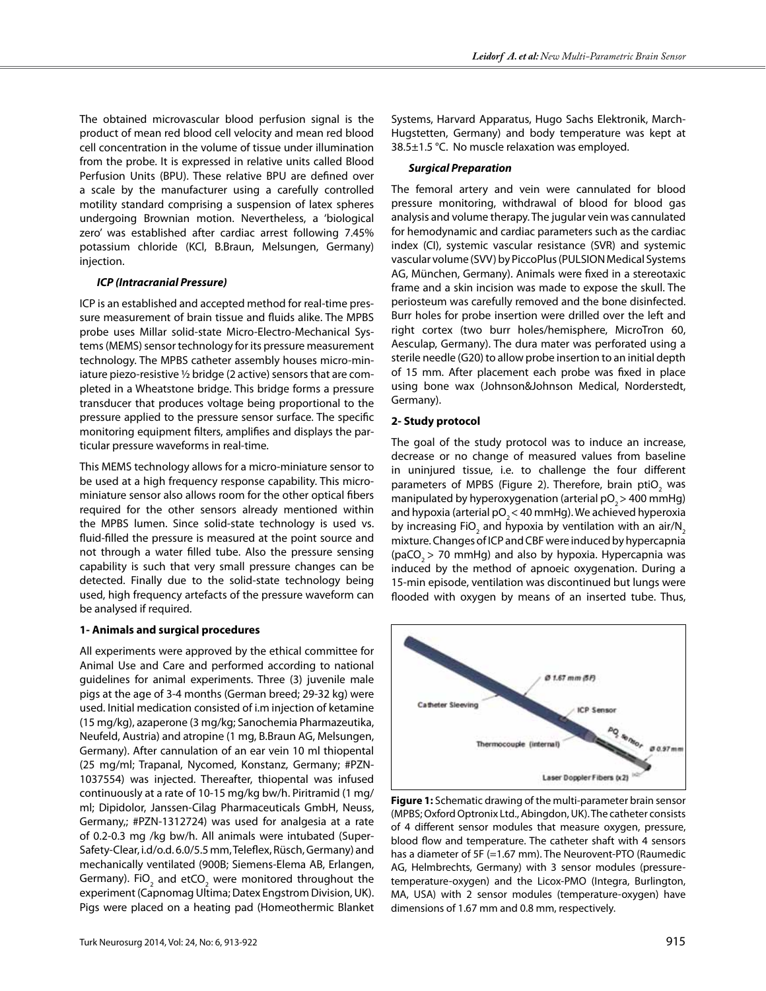The obtained microvascular blood perfusion signal is the product of mean red blood cell velocity and mean red blood cell concentration in the volume of tissue under illumination from the probe. It is expressed in relative units called Blood Perfusion Units (BPU). These relative BPU are defined over a scale by the manufacturer using a carefully controlled motility standard comprising a suspension of latex spheres undergoing Brownian motion. Nevertheless, a 'biological zero' was established after cardiac arrest following 7.45% potassium chloride (KCl, B.Braun, Melsungen, Germany) injection.

#### *ICP (Intracranial Pressure)*

ICP is an established and accepted method for real-time pressure measurement of brain tissue and fluids alike. The MPBS probe uses Millar solid-state Micro-Electro-Mechanical Systems (MEMS) sensor technology for its pressure measurement technology. The MPBS catheter assembly houses micro-miniature piezo-resistive ½ bridge (2 active) sensors that are completed in a Wheatstone bridge. This bridge forms a pressure transducer that produces voltage being proportional to the pressure applied to the pressure sensor surface. The specific monitoring equipment filters, amplifies and displays the particular pressure waveforms in real-time.

This MEMS technology allows for a micro-miniature sensor to be used at a high frequency response capability. This microminiature sensor also allows room for the other optical fibers required for the other sensors already mentioned within the MPBS lumen. Since solid-state technology is used vs. fluid-filled the pressure is measured at the point source and not through a water filled tube. Also the pressure sensing capability is such that very small pressure changes can be detected. Finally due to the solid-state technology being used, high frequency artefacts of the pressure waveform can be analysed if required.

# **1- Animals and surgical procedures**

All experiments were approved by the ethical committee for Animal Use and Care and performed according to national guidelines for animal experiments. Three (3) juvenile male pigs at the age of 3-4 months (German breed; 29-32 kg) were used. Initial medication consisted of i.m injection of ketamine (15 mg/kg), azaperone (3 mg/kg; Sanochemia Pharmazeutika, Neufeld, Austria) and atropine (1 mg, B.Braun AG, Melsungen, Germany). After cannulation of an ear vein 10 ml thiopental (25 mg/ml; Trapanal, Nycomed, Konstanz, Germany; #PZN-1037554) was injected. Thereafter, thiopental was infused continuously at a rate of 10-15 mg/kg bw/h. Piritramid (1 mg/ ml; Dipidolor, Janssen-Cilag Pharmaceuticals GmbH, Neuss, Germany,; #PZN-1312724) was used for analgesia at a rate of 0.2-0.3 mg /kg bw/h. All animals were intubated (Super-Safety-Clear, i.d/o.d. 6.0/5.5 mm, Teleflex, Rüsch, Germany) and mechanically ventilated (900B; Siemens-Elema AB, Erlangen, Germany). FiO<sub>2</sub> and etCO<sub>2</sub> were monitored throughout the experiment (Capnomag Ultima; Datex Engstrom Division, UK). Pigs were placed on a heating pad (Homeothermic Blanket

Systems, Harvard Apparatus, Hugo Sachs Elektronik, March-Hugstetten, Germany) and body temperature was kept at 38.5±1.5 °C. No muscle relaxation was employed.

## *Surgical Preparation*

The femoral artery and vein were cannulated for blood pressure monitoring, withdrawal of blood for blood gas analysis and volume therapy. The jugular vein was cannulated for hemodynamic and cardiac parameters such as the cardiac index (CI), systemic vascular resistance (SVR) and systemic vascular volume (SVV) by PiccoPlus (PULSION Medical Systems AG, München, Germany). Animals were fixed in a stereotaxic frame and a skin incision was made to expose the skull. The periosteum was carefully removed and the bone disinfected. Burr holes for probe insertion were drilled over the left and right cortex (two burr holes/hemisphere, MicroTron 60, Aesculap, Germany). The dura mater was perforated using a sterile needle (G20) to allow probe insertion to an initial depth of 15 mm. After placement each probe was fixed in place using bone wax (Johnson&Johnson Medical, Norderstedt, Germany).

## **2- Study protocol**

The goal of the study protocol was to induce an increase, decrease or no change of measured values from baseline in uninjured tissue, i.e. to challenge the four different parameters of MPBS (Figure 2). Therefore, brain  $ptiO<sub>2</sub>$  was manipulated by hyperoxygenation (arterial  $pO<sub>3</sub>$  > 400 mmHg) and hypoxia (arterial  $pO<sub>2</sub> < 40$  mmHg). We achieved hyperoxia by increasing FiO<sub>2</sub> and hypoxia by ventilation with an air/N<sub>2</sub> mixture. Changes of ICP and CBF were induced by hypercapnia (paCO<sub>2</sub> > 70 mmHg) and also by hypoxia. Hypercapnia was induced by the method of apnoeic oxygenation. During a 15-min episode, ventilation was discontinued but lungs were flooded with oxygen by means of an inserted tube. Thus,



**Figure 1:** Schematic drawing of the multi-parameter brain sensor (MPBS; Oxford Optronix Ltd., Abingdon, UK). The catheter consists of 4 different sensor modules that measure oxygen, pressure, blood flow and temperature. The catheter shaft with 4 sensors has a diameter of 5F (=1.67 mm). The Neurovent-PTO (Raumedic AG, Helmbrechts, Germany) with 3 sensor modules (pressuretemperature-oxygen) and the Licox-PMO (Integra, Burlington, MA, USA) with 2 sensor modules (temperature-oxygen) have dimensions of 1.67 mm and 0.8 mm, respectively.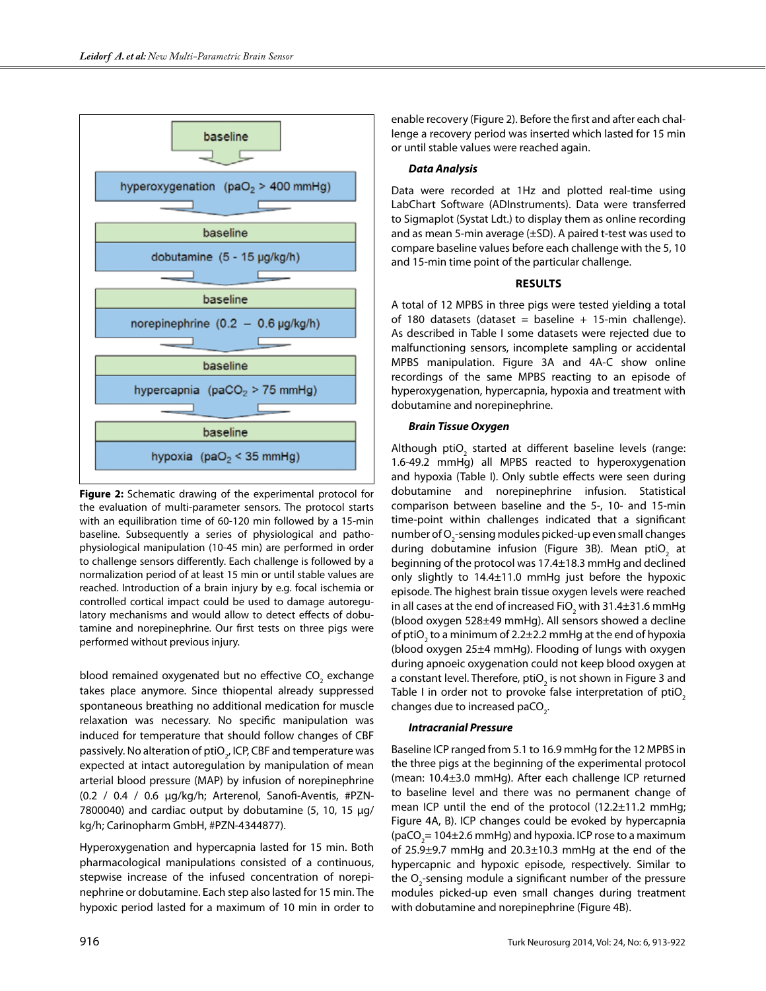

**Figure 2:** Schematic drawing of the experimental protocol for the evaluation of multi-parameter sensors. The protocol starts with an equilibration time of 60-120 min followed by a 15-min baseline. Subsequently a series of physiological and pathophysiological manipulation (10-45 min) are performed in order to challenge sensors differently. Each challenge is followed by a normalization period of at least 15 min or until stable values are reached. Introduction of a brain injury by e.g. focal ischemia or controlled cortical impact could be used to damage autoregulatory mechanisms and would allow to detect effects of dobutamine and norepinephrine. Our first tests on three pigs were performed without previous injury.

blood remained oxygenated but no effective CO<sub>2</sub> exchange takes place anymore. Since thiopental already suppressed spontaneous breathing no additional medication for muscle relaxation was necessary. No specific manipulation was induced for temperature that should follow changes of CBF passively. No alteration of ptiO<sub>2</sub>, ICP, CBF and temperature was expected at intact autoregulation by manipulation of mean arterial blood pressure (MAP) by infusion of norepinephrine (0.2 / 0.4 / 0.6 µg/kg/h; Arterenol, Sanofi-Aventis, #PZN-7800040) and cardiac output by dobutamine (5, 10, 15 µg/ kg/h; Carinopharm GmbH, #PZN-4344877).

Hyperoxygenation and hypercapnia lasted for 15 min. Both pharmacological manipulations consisted of a continuous, stepwise increase of the infused concentration of norepinephrine or dobutamine. Each step also lasted for 15 min. The hypoxic period lasted for a maximum of 10 min in order to enable recovery (Figure 2). Before the first and after each challenge a recovery period was inserted which lasted for 15 min or until stable values were reached again.

#### *Data Analysis*

Data were recorded at 1Hz and plotted real-time using LabChart Software (ADInstruments). Data were transferred to Sigmaplot (Systat Ldt.) to display them as online recording and as mean 5-min average (±SD). A paired t-test was used to compare baseline values before each challenge with the 5, 10 and 15-min time point of the particular challenge.

#### **Results**

A total of 12 MPBS in three pigs were tested yielding a total of 180 datasets (dataset = baseline + 15-min challenge). As described in Table I some datasets were rejected due to malfunctioning sensors, incomplete sampling or accidental MPBS manipulation. Figure 3A and 4A-C show online recordings of the same MPBS reacting to an episode of hyperoxygenation, hypercapnia, hypoxia and treatment with dobutamine and norepinephrine.

## *Brain Tissue Oxygen*

Although ptiO<sub>2</sub> started at different baseline levels (range: 1.6-49.2 mmHg) all MPBS reacted to hyperoxygenation and hypoxia (Table I). Only subtle effects were seen during dobutamine and norepinephrine infusion. Statistical comparison between baseline and the 5-, 10- and 15-min time-point within challenges indicated that a significant number of  $O_2$ -sensing modules picked-up even small changes during dobutamine infusion (Figure 3B). Mean ptiO<sub>2</sub> at beginning of the protocol was 17.4±18.3 mmHg and declined only slightly to  $14.4\pm11.0$  mmHg just before the hypoxic episode. The highest brain tissue oxygen levels were reached in all cases at the end of increased FiO<sub>2</sub> with 31.4±31.6 mmHg (blood oxygen 528±49 mmHg). All sensors showed a decline of ptiO<sub>2</sub> to a minimum of 2.2 $\pm$ 2.2 mmHg at the end of hypoxia (blood oxygen 25±4 mmHg). Flooding of lungs with oxygen during apnoeic oxygenation could not keep blood oxygen at a constant level. Therefore, ptiO<sub>2</sub> is not shown in Figure 3 and Table I in order not to provoke false interpretation of  $ptiO<sub>2</sub>$ changes due to increased paCO<sub>2</sub>.

# *Intracranial Pressure*

Baseline ICP ranged from 5.1 to 16.9 mmHg for the 12 MPBS in the three pigs at the beginning of the experimental protocol (mean: 10.4±3.0 mmHg). After each challenge ICP returned to baseline level and there was no permanent change of mean ICP until the end of the protocol (12.2±11.2 mmHg; Figure 4A, B). ICP changes could be evoked by hypercapnia (paCO<sub>2</sub> = 104±2.6 mmHg) and hypoxia. ICP rose to a maximum of 25.9±9.7 mmHg and 20.3±10.3 mmHg at the end of the hypercapnic and hypoxic episode, respectively. Similar to the  $O_2$ -sensing module a significant number of the pressure modules picked-up even small changes during treatment with dobutamine and norepinephrine (Figure 4B).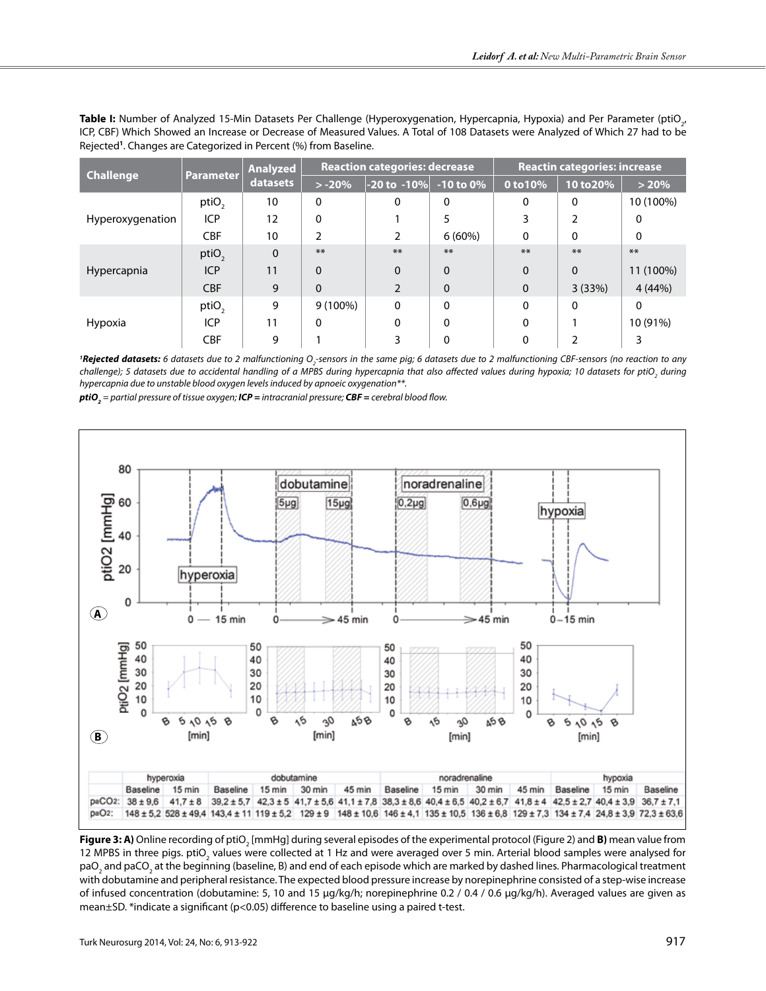| Table I: Number of Analyzed 15-Min Datasets Per Challenge (Hyperoxygenation, Hypercapnia, Hypoxia) and Per Parameter (ptiO <sub>2</sub> , |
|-------------------------------------------------------------------------------------------------------------------------------------------|
| ICP, CBF) Which Showed an Increase or Decrease of Measured Values. A Total of 108 Datasets were Analyzed of Which 27 had to be            |
| Rejected <sup>1</sup> . Changes are Categorized in Percent (%) from Baseline.                                                             |

| <b>Challenge</b>   | <b>Parameter</b>  | <b>Analyzed</b><br>datasets | <b>Reaction categories: decrease</b> |                                        |             | <b>Reactin categories: increase</b> |           |           |
|--------------------|-------------------|-----------------------------|--------------------------------------|----------------------------------------|-------------|-------------------------------------|-----------|-----------|
|                    |                   |                             | $> -20%$                             | $\left  -20 \text{ to } -10\% \right $ | $-10$ to 0% | 0 to 10%                            | 10 to 20% | > 20%     |
| Hyperoxygenation   | ptiO <sub>2</sub> | 10                          | 0                                    | 0                                      | 0           | 0                                   | 0         | 10 (100%) |
|                    | <b>ICP</b>        | 12                          | $\mathbf 0$                          |                                        | 5           |                                     | 2         | 0         |
|                    | <b>CBF</b>        | 10                          | 2                                    | 2                                      | $6(60\%)$   | $\Omega$                            | 0         | 0         |
| <b>Hypercapnia</b> | ptiO <sub>2</sub> | 0                           | **                                   | $**$                                   | $**$        | **                                  | $***$     | $**$      |
|                    | <b>ICP</b>        | 11                          | $\Omega$                             | $\Omega$                               | $\Omega$    | $\Omega$                            | $\Omega$  | 11 (100%) |
|                    | <b>CBF</b>        | 9                           | $\Omega$                             | $\mathcal{P}$                          | $\Omega$    | $\Omega$                            | 3(33%)    | 4(44%)    |
| Hypoxia            | ptiO <sub>2</sub> | 9                           | $9(100\%)$                           | 0                                      | $\Omega$    | 0                                   | 0         | 0         |
|                    | <b>ICP</b>        | 11                          | $\mathbf 0$                          | 0                                      | $\mathbf 0$ | $\Omega$                            |           | 10 (91%)  |
|                    | <b>CBF</b>        | 9                           |                                      |                                        | 0           | 0                                   |           |           |

<sup>1</sup>**Rejected datasets:** 6 datasets due to 2 malfunctioning O<sub>2</sub>-sensors in the same pig; 6 datasets due to 2 malfunctioning CBF-sensors (no reaction to any challenge); 5 datasets due to accidental handling of a MPBS during hypercapnia that also affected values during hypoxia; 10 datasets for ptiO<sub>2</sub> during *hypercapnia due to unstable blood oxygen levels induced by apnoeic oxygenation\*\*.*

80 dobutamine noradrenaline ptiO2 [mmHg] 60  $5<sub>\mu</sub>g$  $15<sub>\mu g</sub>$  $0,2\mu$ g  $0,6\mu$ g hypoxia 40 20 hyperoxia 0 **A** 0 15 min 45 min 0  $\geq$  45 min  $0-15$  min O 50 50 ptiO<sub>2</sub> [mmHg] 50 50 40 40 40 40 30 30 30 30 20 20 20 20  $10$  $10$ 10 10  $\mathbf 0$  $\mathbf 0$  $\mathbf 0$  $\mathbf 0$  $30$ 458 8 6  $10,5$ Ÿ 8 ۸Ś ø ٨Ó 6 के  $10, 6$ 30 a 5 8 **b**[min] [min]  $[min]$  $[min]$ hyperoxia dobutamine noradrenaline hypoxia **Baseline** 15 min Baseline 15 min 30 min 45 min Baseline 15 min 30 min 45 min Baseline 15 min Baseline paCO2: 38 ± 9,6  $41,7 \pm 8$  $39,2 \pm 5,7$   $42,3 \pm 5$   $41,7 \pm 5,6$   $41,1 \pm 7,8$   $38,3 \pm 8,6$   $40,4 \pm 6,5$   $40,2 \pm 6,7$   $41,8 \pm 4$   $42,5 \pm 2,7$   $40,4 \pm 3,9$   $36,7 \pm 7,1$ paO<sub>2</sub>: 148 ± 5,2 528 ± 49,4 143,4 ± 11 119 ± 5,2 129 ± 9 148 ± 10,6 146 ± 4,1 135 ± 10,5 136 ± 6,8 129 ± 7,3 134 ± 7,4 24,8 ± 3,9 72,3 ± 63,6

*ptiO2 = partial pressure of tissue oxygen; ICP = intracranial pressure; CBF = cerebral blood flow.*

**Figure 3: A)** Online recording of ptiO<sub>2</sub> [mmHg] during several episodes of the experimental protocol (Figure 2) and **B)** mean value from 12 MPBS in three pigs. ptiO<sub>2</sub> values were collected at 1 Hz and were averaged over 5 min. Arterial blood samples were analysed for paO<sub>2</sub> and paCO<sub>2</sub> at the beginning (baseline, B) and end of each episode which are marked by dashed lines. Pharmacological treatment with dobutamine and peripheral resistance. The expected blood pressure increase by norepinephrine consisted of a step-wise increase of infused concentration (dobutamine: 5, 10 and 15 µg/kg/h; norepinephrine 0.2 / 0.4 / 0.6 µg/kg/h). Averaged values are given as mean±SD. \*indicate a significant (p<0.05) difference to baseline using a paired t-test.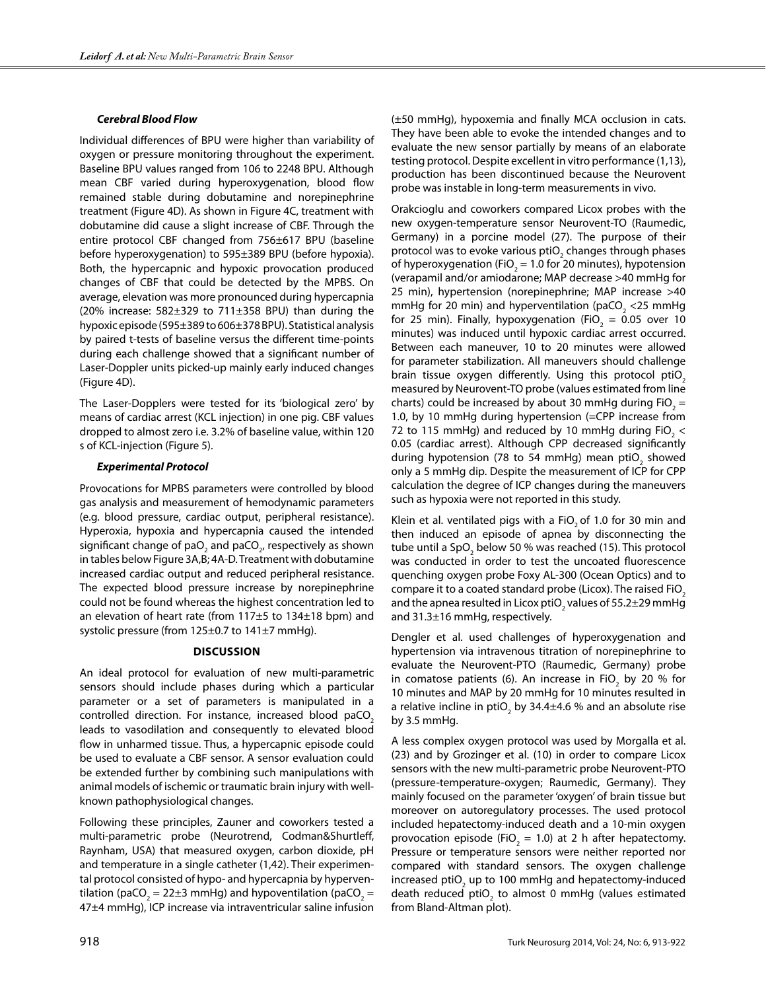#### *Cerebral Blood Flow*

Individual differences of BPU were higher than variability of oxygen or pressure monitoring throughout the experiment. Baseline BPU values ranged from 106 to 2248 BPU. Although mean CBF varied during hyperoxygenation, blood flow remained stable during dobutamine and norepinephrine treatment (Figure 4D). As shown in Figure 4C, treatment with dobutamine did cause a slight increase of CBF. Through the entire protocol CBF changed from 756±617 BPU (baseline before hyperoxygenation) to 595±389 BPU (before hypoxia). Both, the hypercapnic and hypoxic provocation produced changes of CBF that could be detected by the MPBS. On average, elevation was more pronounced during hypercapnia (20% increase:  $582\pm329$  to  $711\pm358$  BPU) than during the hypoxic episode (595±389 to 606±378 BPU). Statistical analysis by paired t-tests of baseline versus the different time-points during each challenge showed that a significant number of Laser-Doppler units picked-up mainly early induced changes (Figure 4D).

The Laser-Dopplers were tested for its 'biological zero' by means of cardiac arrest (KCL injection) in one pig. CBF values dropped to almost zero i.e. 3.2% of baseline value, within 120 s of KCL-injection (Figure 5).

## *Experimental Protocol*

Provocations for MPBS parameters were controlled by blood gas analysis and measurement of hemodynamic parameters (e.g. blood pressure, cardiac output, peripheral resistance). Hyperoxia, hypoxia and hypercapnia caused the intended significant change of pa $\mathrm{O}_2$  and paC $\mathrm{O}_{2^\prime}$  respectively as shown in tables below Figure 3A,B; 4A-D. Treatment with dobutamine increased cardiac output and reduced peripheral resistance. The expected blood pressure increase by norepinephrine could not be found whereas the highest concentration led to an elevation of heart rate (from 117±5 to 134±18 bpm) and systolic pressure (from 125±0.7 to 141±7 mmHg).

#### **Discussion**

An ideal protocol for evaluation of new multi-parametric sensors should include phases during which a particular parameter or a set of parameters is manipulated in a controlled direction. For instance, increased blood paCO<sub>2</sub> leads to vasodilation and consequently to elevated blood flow in unharmed tissue. Thus, a hypercapnic episode could be used to evaluate a CBF sensor. A sensor evaluation could be extended further by combining such manipulations with animal models of ischemic or traumatic brain injury with wellknown pathophysiological changes.

Following these principles, Zauner and coworkers tested a multi-parametric probe (Neurotrend, Codman&Shurtleff, Raynham, USA) that measured oxygen, carbon dioxide, pH and temperature in a single catheter (1,42). Their experimental protocol consisted of hypo- and hypercapnia by hyperventilation (paCO<sub>2</sub> = 22±3 mmHg) and hypoventilation (paCO<sub>2</sub> = 47±4 mmHg), ICP increase via intraventricular saline infusion

(±50 mmHg), hypoxemia and finally MCA occlusion in cats. They have been able to evoke the intended changes and to evaluate the new sensor partially by means of an elaborate testing protocol. Despite excellent in vitro performance (1,13), production has been discontinued because the Neurovent probe was instable in long-term measurements in vivo.

Orakcioglu and coworkers compared Licox probes with the new oxygen-temperature sensor Neurovent-TO (Raumedic, Germany) in a porcine model (27). The purpose of their protocol was to evoke various ptiO<sub>2</sub> changes through phases of hyperoxygenation (FiO<sub>2</sub> = 1.0 for 20 minutes), hypotension (verapamil and/or amiodarone; MAP decrease >40 mmHg for 25 min), hypertension (norepinephrine; MAP increase >40 mmHg for 20 min) and hyperventilation (paCO<sub>2</sub> <25 mmHg for 25 min). Finally, hypoxygenation (FiO<sub>2</sub> = 0.05 over 10 minutes) was induced until hypoxic cardiac arrest occurred. Between each maneuver, 10 to 20 minutes were allowed for parameter stabilization. All maneuvers should challenge brain tissue oxygen differently. Using this protocol ptiO<sub>2</sub> measured by Neurovent-TO probe (values estimated from line charts) could be increased by about 30 mmHg during  $FiO_2 =$ 1.0, by 10 mmHg during hypertension (=CPP increase from 72 to 115 mmHg) and reduced by 10 mmHg during FiO<sub>2</sub>  $<$ 0.05 (cardiac arrest). Although CPP decreased significantly during hypotension (78 to 54 mmHg) mean ptiO<sub>2</sub> showed only a 5 mmHg dip. Despite the measurement of ICP for CPP calculation the degree of ICP changes during the maneuvers such as hypoxia were not reported in this study.

Klein et al. ventilated pigs with a FiO<sub>2</sub> of 1.0 for 30 min and then induced an episode of apnea by disconnecting the tube until a SpO<sub>2</sub> below 50 % was reached (15). This protocol was conducted in order to test the uncoated fluorescence quenching oxygen probe Foxy AL-300 (Ocean Optics) and to compare it to a coated standard probe (Licox). The raised FiO<sub>2</sub> and the apnea resulted in Licox ptiO<sub>2</sub> values of 55.2±29 mmHg and 31.3±16 mmHg, respectively.

Dengler et al. used challenges of hyperoxygenation and hypertension via intravenous titration of norepinephrine to evaluate the Neurovent-PTO (Raumedic, Germany) probe in comatose patients (6). An increase in FiO<sub>2</sub> by 20 % for 10 minutes and MAP by 20 mmHg for 10 minutes resulted in a relative incline in ptiO<sub>2</sub> by 34.4 $\pm$ 4.6 % and an absolute rise by 3.5 mmHg.

A less complex oxygen protocol was used by Morgalla et al. (23) and by Grozinger et al. (10) in order to compare Licox sensors with the new multi-parametric probe Neurovent-PTO (pressure-temperature-oxygen; Raumedic, Germany). They mainly focused on the parameter 'oxygen' of brain tissue but moreover on autoregulatory processes. The used protocol included hepatectomy-induced death and a 10-min oxygen provocation episode (FiO<sub>2</sub> = 1.0) at 2 h after hepatectomy. Pressure or temperature sensors were neither reported nor compared with standard sensors. The oxygen challenge increased ptiO<sub>2</sub> up to 100 mmHg and hepatectomy-induced death reduced  $ptiO_2$  to almost 0 mmHg (values estimated from Bland-Altman plot).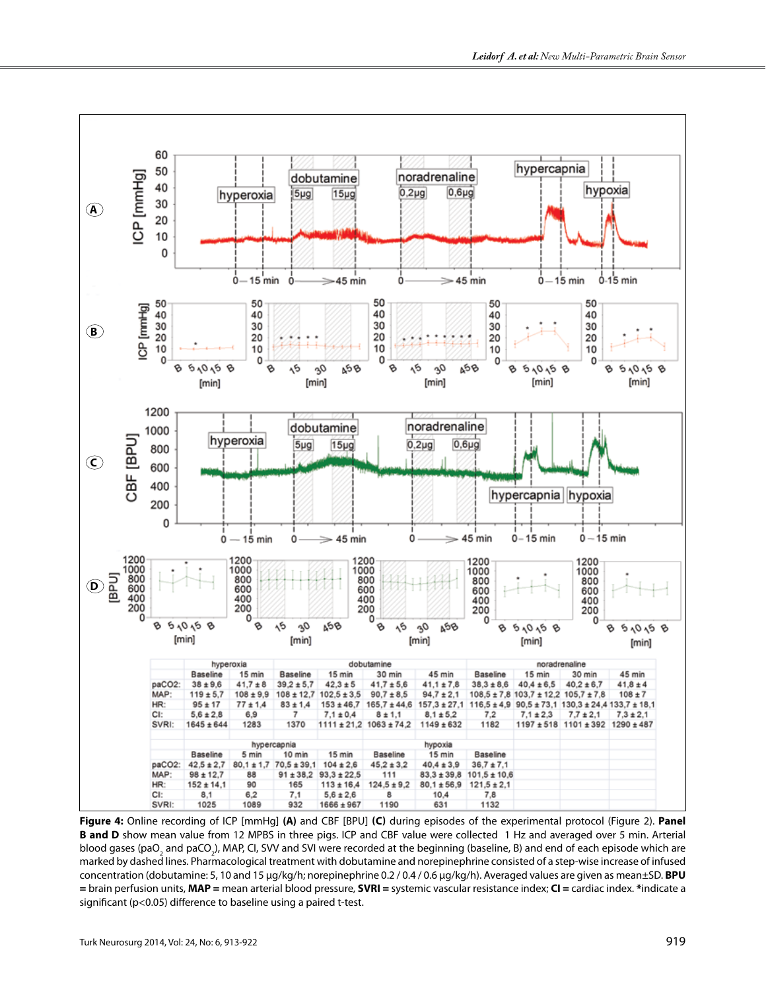

**Figure 4:** Online recording of ICP [mmHg] **(A)** and CBF [BPU] **(C)** during episodes of the experimental protocol (Figure 2). **Panel B and D** show mean value from 12 MPBS in three pigs. ICP and CBF value were collected 1 Hz and averaged over 5 min. Arterial blood gases (paO<sub>2</sub> and paCO<sub>2</sub>), MAP, CI, SVV and SVI were recorded at the beginning (baseline, B) and end of each episode which are marked by dashed lines. Pharmacological treatment with dobutamine and norepinephrine consisted of a step-wise increase of infused concentration (dobutamine: 5, 10 and 15 µg/kg/h; norepinephrine 0.2 / 0.4 / 0.6 µg/kg/h). Averaged values are given as mean±SD. **BPU =** brain perfusion units, **MAP =** mean arterial blood pressure, **SVRI =** systemic vascular resistance index; **CI =** cardiac index. **\***indicate a significant (p<0.05) difference to baseline using a paired t-test.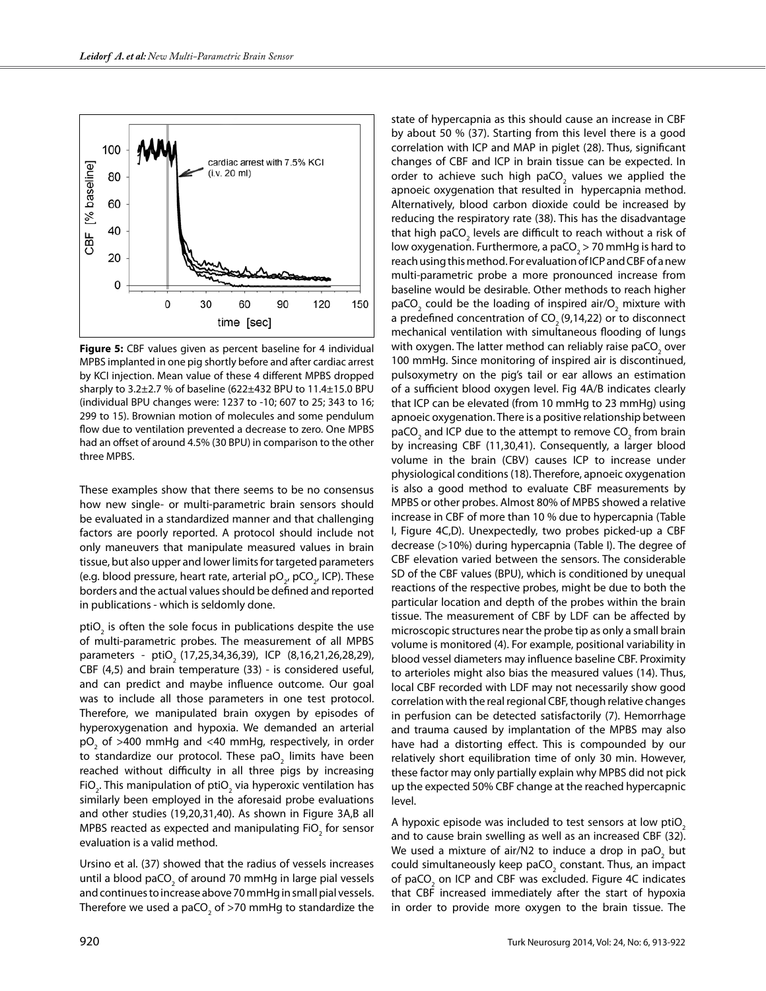

**Figure 5:** CBF values given as percent baseline for 4 individual MPBS implanted in one pig shortly before and after cardiac arrest by KCI injection. Mean value of these 4 different MPBS dropped sharply to 3.2±2.7 % of baseline (622±432 BPU to 11.4±15.0 BPU (individual BPU changes were: 1237 to -10; 607 to 25; 343 to 16; 299 to 15). Brownian motion of molecules and some pendulum flow due to ventilation prevented a decrease to zero. One MPBS had an offset of around 4.5% (30 BPU) in comparison to the other three MPBS.

These examples show that there seems to be no consensus how new single- or multi-parametric brain sensors should be evaluated in a standardized manner and that challenging factors are poorly reported. A protocol should include not only maneuvers that manipulate measured values in brain tissue, but also upper and lower limits for targeted parameters (e.g. blood pressure, heart rate, arterial pO<sub>2</sub>, pCO<sub>2</sub>, ICP). These borders and the actual values should be defined and reported in publications - which is seldomly done.

ptiO<sub>2</sub> is often the sole focus in publications despite the use of multi-parametric probes. The measurement of all MPBS parameters - ptiO<sub>2</sub> (17,25,34,36,39), ICP (8,16,21,26,28,29), CBF (4,5) and brain temperature (33) - is considered useful, and can predict and maybe influence outcome. Our goal was to include all those parameters in one test protocol. Therefore, we manipulated brain oxygen by episodes of hyperoxygenation and hypoxia. We demanded an arterial  $\textrm{pO}_2$  of >400 mmHg and <40 mmHg, respectively, in order to standardize our protocol. These pa $\mathrm{O}_2$  limits have been reached without difficulty in all three pigs by increasing FiO<sub>2</sub>. This manipulation of ptiO<sub>2</sub> via hyperoxic ventilation has similarly been employed in the aforesaid probe evaluations and other studies (19,20,31,40). As shown in Figure 3A,B all MPBS reacted as expected and manipulating FiO<sub>2</sub> for sensor evaluation is a valid method.

Ursino et al. (37) showed that the radius of vessels increases until a blood paCO<sub>2</sub> of around 70 mmHg in large pial vessels and continues to increase above 70 mmHg in small pial vessels. Therefore we used a paCO<sub>2</sub> of >70 mmHg to standardize the state of hypercapnia as this should cause an increase in CBF by about 50 % (37). Starting from this level there is a good correlation with ICP and MAP in piglet (28). Thus, significant changes of CBF and ICP in brain tissue can be expected. In order to achieve such high paCO<sub>2</sub> values we applied the apnoeic oxygenation that resulted in hypercapnia method. Alternatively, blood carbon dioxide could be increased by reducing the respiratory rate (38). This has the disadvantage that high paCO<sub>2</sub> levels are difficult to reach without a risk of low oxygenation. Furthermore, a paCO<sub>2</sub> > 70 mmHg is hard to reach using this method. For evaluation of ICP and CBF of a new multi-parametric probe a more pronounced increase from baseline would be desirable. Other methods to reach higher paCO<sub>2</sub> could be the loading of inspired air/O<sub>2</sub> mixture with a predefined concentration of  $CO<sub>2</sub>(9,14,22)$  or to disconnect mechanical ventilation with simultaneous flooding of lungs with oxygen. The latter method can reliably raise paCO<sub>2</sub> over 100 mmHg. Since monitoring of inspired air is discontinued, pulsoxymetry on the pig's tail or ear allows an estimation of a sufficient blood oxygen level. Fig 4A/B indicates clearly that ICP can be elevated (from 10 mmHg to 23 mmHg) using apnoeic oxygenation. There is a positive relationship between paCO<sub>2</sub> and ICP due to the attempt to remove CO<sub>2</sub> from brain by increasing CBF (11,30,41). Consequently, a larger blood volume in the brain (CBV) causes ICP to increase under physiological conditions (18). Therefore, apnoeic oxygenation is also a good method to evaluate CBF measurements by MPBS or other probes. Almost 80% of MPBS showed a relative increase in CBF of more than 10 % due to hypercapnia (Table I, Figure 4C,D). Unexpectedly, two probes picked-up a CBF decrease (>10%) during hypercapnia (Table I). The degree of CBF elevation varied between the sensors. The considerable SD of the CBF values (BPU), which is conditioned by unequal reactions of the respective probes, might be due to both the particular location and depth of the probes within the brain tissue. The measurement of CBF by LDF can be affected by microscopic structures near the probe tip as only a small brain volume is monitored (4). For example, positional variability in blood vessel diameters may influence baseline CBF. Proximity to arterioles might also bias the measured values (14). Thus, local CBF recorded with LDF may not necessarily show good correlation with the real regional CBF, though relative changes in perfusion can be detected satisfactorily (7). Hemorrhage and trauma caused by implantation of the MPBS may also have had a distorting effect. This is compounded by our relatively short equilibration time of only 30 min. However, these factor may only partially explain why MPBS did not pick up the expected 50% CBF change at the reached hypercapnic level.

A hypoxic episode was included to test sensors at low ptiO<sub>2</sub> and to cause brain swelling as well as an increased CBF (32). We used a mixture of air/N2 to induce a drop in pa $\overline{\mathrm{O}}_{_{2}}$  but could simultaneously keep paCO<sub>2</sub> constant. Thus, an impact of paCO<sub>2</sub> on ICP and CBF was excluded. Figure 4C indicates that CBF increased immediately after the start of hypoxia in order to provide more oxygen to the brain tissue. The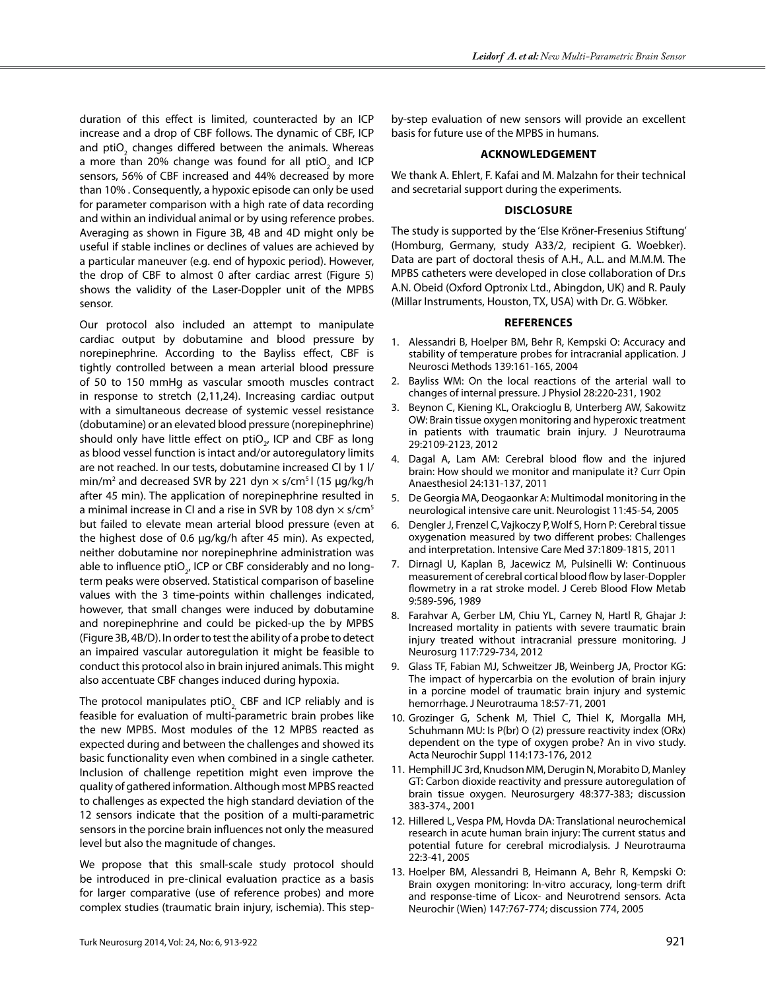duration of this effect is limited, counteracted by an ICP increase and a drop of CBF follows. The dynamic of CBF, ICP and pti $\mathrm{O}_2$  changes differed between the animals. Whereas a more than 20% change was found for all ptiO<sub>2</sub> and ICP sensors, 56% of CBF increased and 44% decreased by more than 10% . Consequently, a hypoxic episode can only be used for parameter comparison with a high rate of data recording and within an individual animal or by using reference probes. Averaging as shown in Figure 3B, 4B and 4D might only be useful if stable inclines or declines of values are achieved by a particular maneuver (e.g. end of hypoxic period). However, the drop of CBF to almost 0 after cardiac arrest (Figure 5) shows the validity of the Laser-Doppler unit of the MPBS sensor.

Our protocol also included an attempt to manipulate cardiac output by dobutamine and blood pressure by norepinephrine. According to the Bayliss effect, CBF is tightly controlled between a mean arterial blood pressure of 50 to 150 mmHg as vascular smooth muscles contract in response to stretch (2,11,24). Increasing cardiac output with a simultaneous decrease of systemic vessel resistance (dobutamine) or an elevated blood pressure (norepinephrine) should only have little effect on  $ptiO_{2'}$  ICP and CBF as long as blood vessel function is intact and/or autoregulatory limits are not reached. In our tests, dobutamine increased CI by 1 l/ min/m<sup>2</sup> and decreased SVR by 221 dyn  $\times$  s/cm<sup>5</sup>l (15 µg/kg/h after 45 min). The application of norepinephrine resulted in a minimal increase in CI and a rise in SVR by 108 dyn  $\times$  s/cm<sup>5</sup> but failed to elevate mean arterial blood pressure (even at the highest dose of 0.6  $\mu$ g/kg/h after 45 min). As expected, neither dobutamine nor norepinephrine administration was able to influence ptiO<sub>2</sub>, ICP or CBF considerably and no longterm peaks were observed. Statistical comparison of baseline values with the 3 time-points within challenges indicated, however, that small changes were induced by dobutamine and norepinephrine and could be picked-up the by MPBS (Figure 3B, 4B/D). In order to test the ability of a probe to detect an impaired vascular autoregulation it might be feasible to conduct this protocol also in brain injured animals. This might also accentuate CBF changes induced during hypoxia.

The protocol manipulates ptiO<sub>2</sub> CBF and ICP reliably and is feasible for evaluation of multi-parametric brain probes like the new MPBS. Most modules of the 12 MPBS reacted as expected during and between the challenges and showed its basic functionality even when combined in a single catheter. Inclusion of challenge repetition might even improve the quality of gathered information. Although most MPBS reacted to challenges as expected the high standard deviation of the 12 sensors indicate that the position of a multi-parametric sensors in the porcine brain influences not only the measured level but also the magnitude of changes.

We propose that this small-scale study protocol should be introduced in pre-clinical evaluation practice as a basis for larger comparative (use of reference probes) and more complex studies (traumatic brain injury, ischemia). This step-

by-step evaluation of new sensors will provide an excellent basis for future use of the MPBS in humans.

#### **Acknowledgement**

We thank A. Ehlert, F. Kafai and M. Malzahn for their technical and secretarial support during the experiments.

#### **Disclosure**

The study is supported by the 'Else Kröner-Fresenius Stiftung' (Homburg, Germany, study A33/2, recipient G. Woebker). Data are part of doctoral thesis of A.H., A.L. and M.M.M. The MPBS catheters were developed in close collaboration of Dr.s A.N. Obeid (Oxford Optronix Ltd., Abingdon, UK) and R. Pauly (Millar Instruments, Houston, TX, USA) with Dr. G. Wöbker.

#### **References**

- 1. Alessandri B, Hoelper BM, Behr R, Kempski O: Accuracy and stability of temperature probes for intracranial application. J Neurosci Methods 139:161-165, 2004
- 2. Bayliss WM: On the local reactions of the arterial wall to changes of internal pressure. J Physiol 28:220-231, 1902
- 3. Beynon C, Kiening KL, Orakcioglu B, Unterberg AW, Sakowitz OW: Brain tissue oxygen monitoring and hyperoxic treatment in patients with traumatic brain injury. J Neurotrauma 29:2109-2123, 2012
- 4. Dagal A, Lam AM: Cerebral blood flow and the injured brain: How should we monitor and manipulate it? Curr Opin Anaesthesiol 24:131-137, 2011
- 5. De Georgia MA, Deogaonkar A: Multimodal monitoring in the neurological intensive care unit. Neurologist 11:45-54, 2005
- 6. Dengler J, Frenzel C, Vajkoczy P, Wolf S, Horn P: Cerebral tissue oxygenation measured by two different probes: Challenges and interpretation. Intensive Care Med 37:1809-1815, 2011
- 7. Dirnagl U, Kaplan B, Jacewicz M, Pulsinelli W: Continuous measurement of cerebral cortical blood flow by laser-Doppler flowmetry in a rat stroke model. J Cereb Blood Flow Metab 9:589-596, 1989
- 8. Farahvar A, Gerber LM, Chiu YL, Carney N, Hartl R, Ghajar J: Increased mortality in patients with severe traumatic brain injury treated without intracranial pressure monitoring. J Neurosurg 117:729-734, 2012
- 9. Glass TF, Fabian MJ, Schweitzer JB, Weinberg JA, Proctor KG: The impact of hypercarbia on the evolution of brain injury in a porcine model of traumatic brain injury and systemic hemorrhage. J Neurotrauma 18:57-71, 2001
- 10. Grozinger G, Schenk M, Thiel C, Thiel K, Morgalla MH, Schuhmann MU: Is P(br) O (2) pressure reactivity index (ORx) dependent on the type of oxygen probe? An in vivo study. Acta Neurochir Suppl 114:173-176, 2012
- 11. Hemphill JC 3rd, Knudson MM, Derugin N, Morabito D, Manley GT: Carbon dioxide reactivity and pressure autoregulation of brain tissue oxygen. Neurosurgery 48:377-383; discussion 383-374., 2001
- 12. Hillered L, Vespa PM, Hovda DA: Translational neurochemical research in acute human brain injury: The current status and potential future for cerebral microdialysis. J Neurotrauma 22:3-41, 2005
- 13. Hoelper BM, Alessandri B, Heimann A, Behr R, Kempski O: Brain oxygen monitoring: In-vitro accuracy, long-term drift and response-time of Licox- and Neurotrend sensors. Acta Neurochir (Wien) 147:767-774; discussion 774, 2005